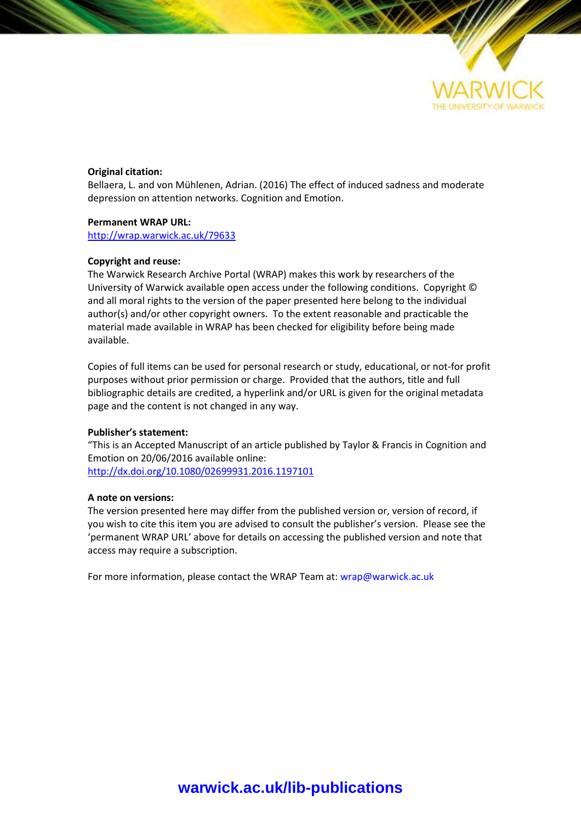

### **Original citation:**

Bellaera, L. and von Mühlenen, Adrian. (2016) The effect of induced sadness and moderate depression on attention networks. Cognition and Emotion.

### **Permanent WRAP URL:**

<http://wrap.warwick.ac.uk/79633>

### **Copyright and reuse:**

The Warwick Research Archive Portal (WRAP) makes this work by researchers of the University of Warwick available open access under the following conditions. Copyright © and all moral rights to the version of the paper presented here belong to the individual author(s) and/or other copyright owners. To the extent reasonable and practicable the material made available in WRAP has been checked for eligibility before being made available.

Copies of full items can be used for personal research or study, educational, or not-for profit purposes without prior permission or charge. Provided that the authors, title and full bibliographic details are credited, a hyperlink and/or URL is given for the original metadata page and the content is not changed in any way.

#### **Publisher's statement:**

"This is an Accepted Manuscript of an article published by Taylor & Francis in Cognition and Emotion on 20/06/2016 available online: <http://dx.doi.org/10.1080/02699931.2016.1197101>

#### **A note on versions:**

The version presented here may differ from the published version or, version of record, if you wish to cite this item you are advised to consult the publisher's version. Please see the 'permanent WRAP URL' above for details on accessing the published version and note that access may require a subscription.

For more information, please contact the WRAP Team at[: wrap@warwick.ac.uk](mailto:wrap@warwick.ac.uk)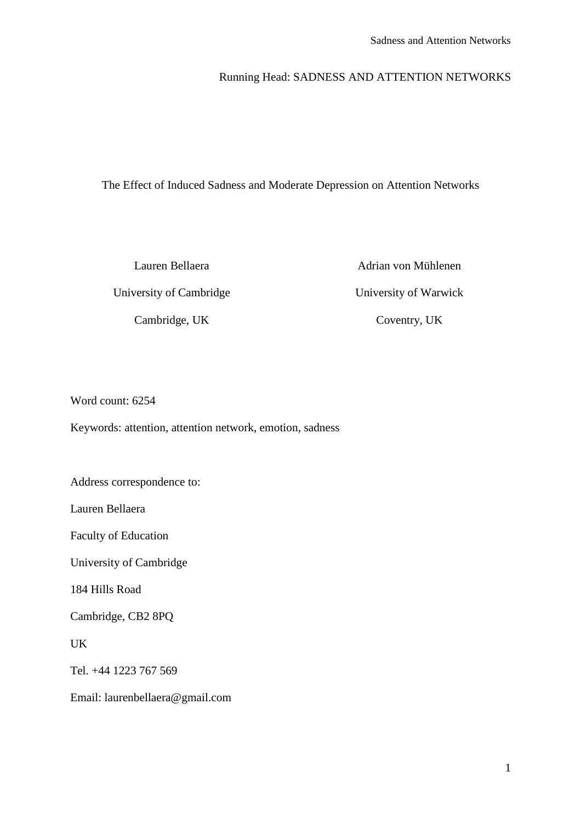# Running Head: SADNESS AND ATTENTION NETWORKS

The Effect of Induced Sadness and Moderate Depression on Attention Networks

Lauren Bellaera University of Cambridge Cambridge, UK

Adrian von Mühlenen University of Warwick Coventry, UK

Word count: 6254

Keywords: attention, attention network, emotion, sadness

Address correspondence to:

Lauren Bellaera

Faculty of Education

University of Cambridge

184 Hills Road

Cambridge, CB2 8PQ

UK

Tel. +44 1223 767 569

Email: laurenbellaera@gmail.com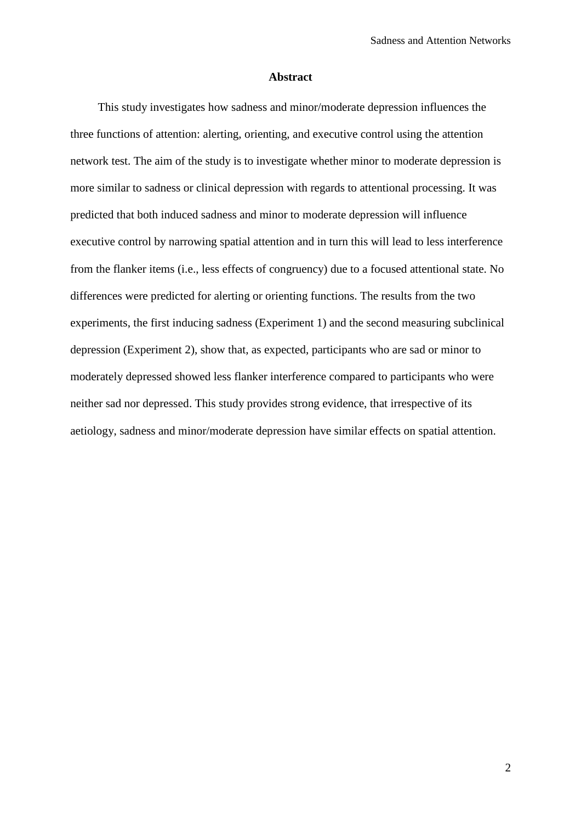### **Abstract**

This study investigates how sadness and minor/moderate depression influences the three functions of attention: alerting, orienting, and executive control using the attention network test. The aim of the study is to investigate whether minor to moderate depression is more similar to sadness or clinical depression with regards to attentional processing. It was predicted that both induced sadness and minor to moderate depression will influence executive control by narrowing spatial attention and in turn this will lead to less interference from the flanker items (i.e., less effects of congruency) due to a focused attentional state. No differences were predicted for alerting or orienting functions. The results from the two experiments, the first inducing sadness (Experiment 1) and the second measuring subclinical depression (Experiment 2), show that, as expected, participants who are sad or minor to moderately depressed showed less flanker interference compared to participants who were neither sad nor depressed. This study provides strong evidence, that irrespective of its aetiology, sadness and minor/moderate depression have similar effects on spatial attention.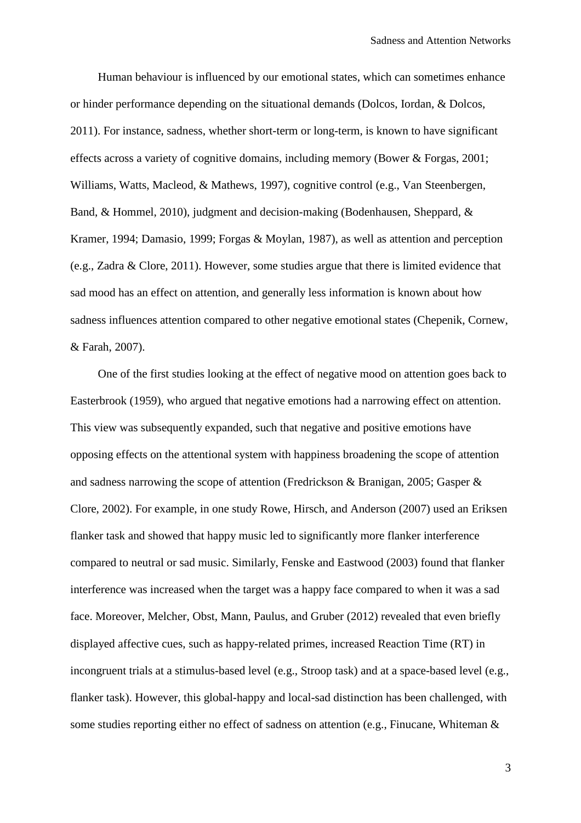Human behaviour is influenced by our emotional states, which can sometimes enhance or hinder performance depending on the situational demands (Dolcos, Iordan, & Dolcos, 2011). For instance, sadness, whether short-term or long-term, is known to have significant effects across a variety of cognitive domains, including memory (Bower & Forgas, 2001; Williams, Watts, Macleod, & Mathews, 1997), cognitive control (e.g., Van Steenbergen, Band, & Hommel, 2010), judgment and decision-making (Bodenhausen, Sheppard, & Kramer, 1994; Damasio, 1999; Forgas & Moylan, 1987), as well as attention and perception (e.g., Zadra & Clore, 2011). However, some studies argue that there is limited evidence that sad mood has an effect on attention, and generally less information is known about how sadness influences attention compared to other negative emotional states (Chepenik, Cornew, & Farah, 2007).

One of the first studies looking at the effect of negative mood on attention goes back to Easterbrook (1959), who argued that negative emotions had a narrowing effect on attention. This view was subsequently expanded, such that negative and positive emotions have opposing effects on the attentional system with happiness broadening the scope of attention and sadness narrowing the scope of attention (Fredrickson & Branigan, 2005; Gasper & Clore, 2002). For example, in one study Rowe, Hirsch, and Anderson (2007) used an Eriksen flanker task and showed that happy music led to significantly more flanker interference compared to neutral or sad music. Similarly, Fenske and Eastwood (2003) found that flanker interference was increased when the target was a happy face compared to when it was a sad face. Moreover, Melcher, Obst, Mann, Paulus, and Gruber (2012) revealed that even briefly displayed affective cues, such as happy-related primes, increased Reaction Time (RT) in incongruent trials at a stimulus-based level (e.g., Stroop task) and at a space-based level (e.g., flanker task). However, this global-happy and local-sad distinction has been challenged, with some studies reporting either no effect of sadness on attention (e.g., Finucane, Whiteman &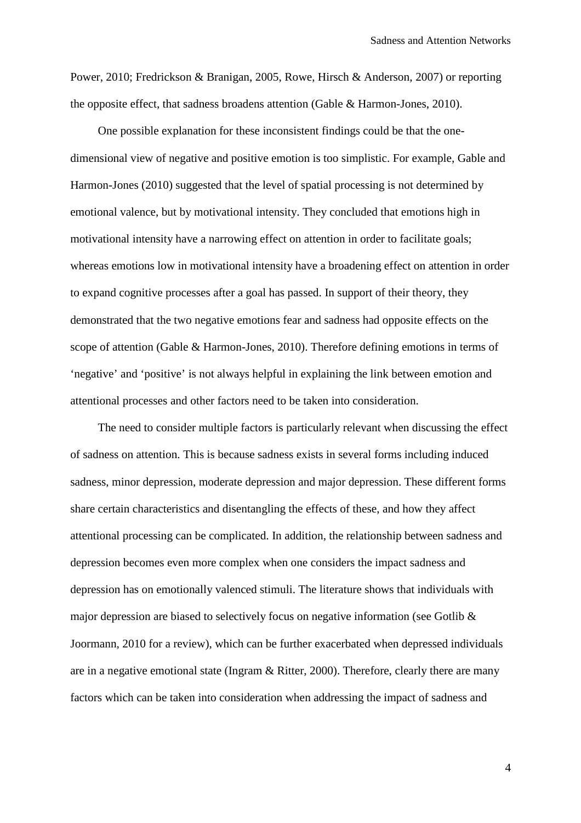Power, 2010; Fredrickson & Branigan, 2005, Rowe, Hirsch & Anderson, 2007) or reporting the opposite effect, that sadness broadens attention (Gable & Harmon-Jones, 2010).

One possible explanation for these inconsistent findings could be that the onedimensional view of negative and positive emotion is too simplistic. For example, Gable and Harmon-Jones (2010) suggested that the level of spatial processing is not determined by emotional valence, but by motivational intensity. They concluded that emotions high in motivational intensity have a narrowing effect on attention in order to facilitate goals; whereas emotions low in motivational intensity have a broadening effect on attention in order to expand cognitive processes after a goal has passed. In support of their theory, they demonstrated that the two negative emotions fear and sadness had opposite effects on the scope of attention (Gable & Harmon-Jones, 2010). Therefore defining emotions in terms of 'negative' and 'positive' is not always helpful in explaining the link between emotion and attentional processes and other factors need to be taken into consideration.

The need to consider multiple factors is particularly relevant when discussing the effect of sadness on attention. This is because sadness exists in several forms including induced sadness, minor depression, moderate depression and major depression. These different forms share certain characteristics and disentangling the effects of these, and how they affect attentional processing can be complicated. In addition, the relationship between sadness and depression becomes even more complex when one considers the impact sadness and depression has on emotionally valenced stimuli. The literature shows that individuals with major depression are biased to selectively focus on negative information (see Gotlib & Joormann, 2010 for a review), which can be further exacerbated when depressed individuals are in a negative emotional state (Ingram & Ritter, 2000). Therefore, clearly there are many factors which can be taken into consideration when addressing the impact of sadness and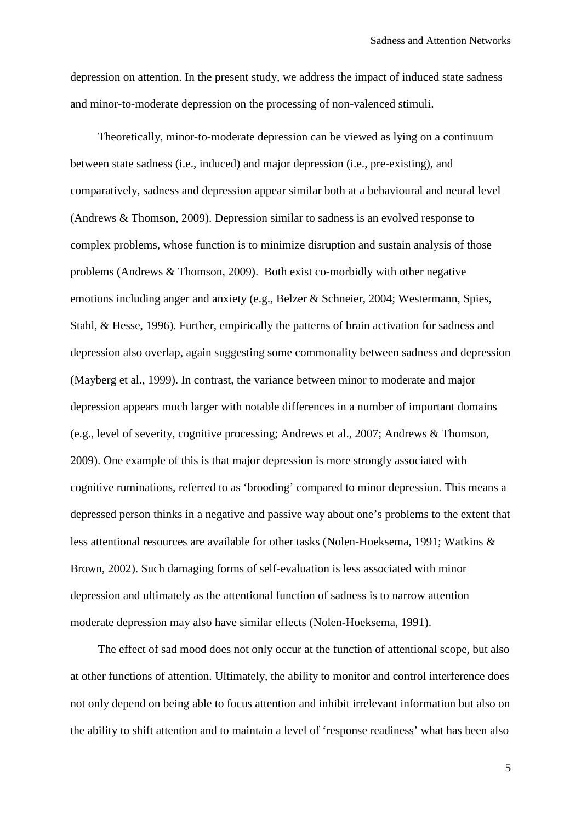depression on attention. In the present study, we address the impact of induced state sadness and minor-to-moderate depression on the processing of non-valenced stimuli.

Theoretically, minor-to-moderate depression can be viewed as lying on a continuum between state sadness (i.e., induced) and major depression (i.e., pre-existing), and comparatively, sadness and depression appear similar both at a behavioural and neural level (Andrews & Thomson, 2009). Depression similar to sadness is an evolved response to complex problems, whose function is to minimize disruption and sustain analysis of those problems (Andrews & Thomson, 2009). Both exist co-morbidly with other negative emotions including anger and anxiety (e.g., Belzer & Schneier, 2004; Westermann, Spies, Stahl, & Hesse, 1996). Further, empirically the patterns of brain activation for sadness and depression also overlap, again suggesting some commonality between sadness and depression (Mayberg et al., 1999). In contrast, the variance between minor to moderate and major depression appears much larger with notable differences in a number of important domains (e.g., level of severity, cognitive processing; Andrews et al., 2007; Andrews & Thomson, 2009). One example of this is that major depression is more strongly associated with cognitive ruminations, referred to as 'brooding' compared to minor depression. This means a depressed person thinks in a negative and passive way about one's problems to the extent that less attentional resources are available for other tasks (Nolen-Hoeksema, 1991; Watkins & Brown, 2002). Such damaging forms of self-evaluation is less associated with minor depression and ultimately as the attentional function of sadness is to narrow attention moderate depression may also have similar effects (Nolen-Hoeksema, 1991).

The effect of sad mood does not only occur at the function of attentional scope, but also at other functions of attention. Ultimately, the ability to monitor and control interference does not only depend on being able to focus attention and inhibit irrelevant information but also on the ability to shift attention and to maintain a level of 'response readiness' what has been also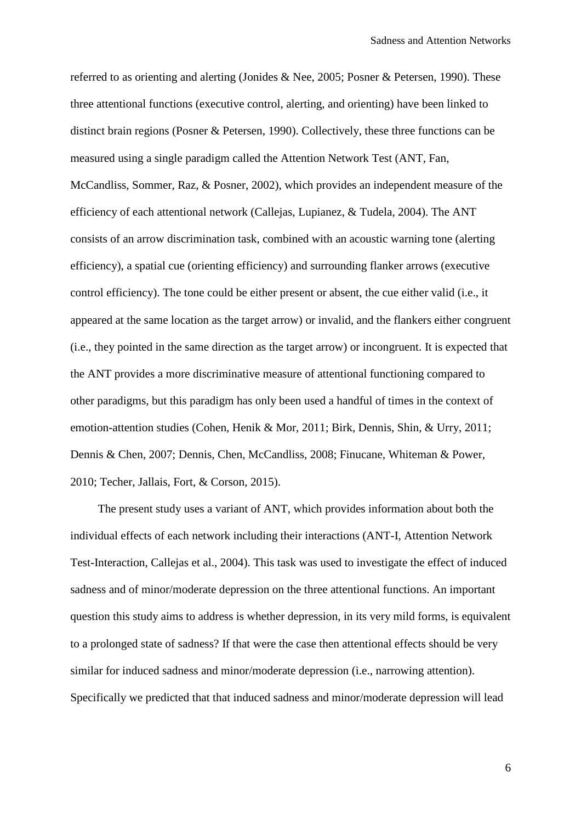referred to as orienting and alerting (Jonides & Nee, 2005; Posner & Petersen, 1990). These three attentional functions (executive control, alerting, and orienting) have been linked to distinct brain regions (Posner & Petersen, 1990). Collectively, these three functions can be measured using a single paradigm called the Attention Network Test (ANT, Fan, McCandliss, Sommer, Raz, & Posner, 2002), which provides an independent measure of the efficiency of each attentional network (Callejas, Lupianez, & Tudela, 2004). The ANT consists of an arrow discrimination task, combined with an acoustic warning tone (alerting efficiency), a spatial cue (orienting efficiency) and surrounding flanker arrows (executive control efficiency). The tone could be either present or absent, the cue either valid (i.e., it appeared at the same location as the target arrow) or invalid, and the flankers either congruent (i.e., they pointed in the same direction as the target arrow) or incongruent. It is expected that the ANT provides a more discriminative measure of attentional functioning compared to other paradigms, but this paradigm has only been used a handful of times in the context of emotion-attention studies (Cohen, Henik & Mor, 2011; Birk, Dennis, Shin, & Urry, 2011; Dennis & Chen, 2007; Dennis, Chen, McCandliss, 2008; Finucane, Whiteman & Power, 2010; Techer, Jallais, Fort, & Corson, 2015).

The present study uses a variant of ANT, which provides information about both the individual effects of each network including their interactions (ANT-I, Attention Network Test-Interaction, Callejas et al., 2004). This task was used to investigate the effect of induced sadness and of minor/moderate depression on the three attentional functions. An important question this study aims to address is whether depression, in its very mild forms, is equivalent to a prolonged state of sadness? If that were the case then attentional effects should be very similar for induced sadness and minor/moderate depression (i.e., narrowing attention). Specifically we predicted that that induced sadness and minor/moderate depression will lead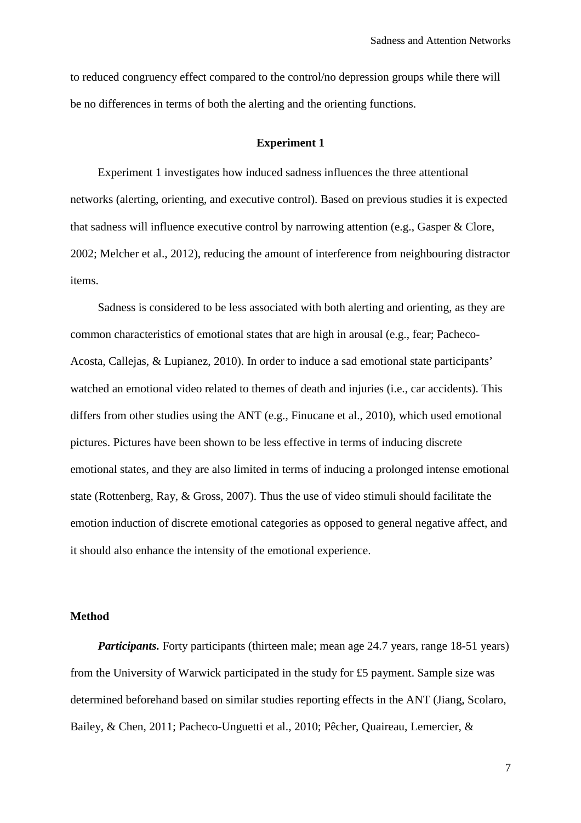to reduced congruency effect compared to the control/no depression groups while there will be no differences in terms of both the alerting and the orienting functions.

### **Experiment 1**

Experiment 1 investigates how induced sadness influences the three attentional networks (alerting, orienting, and executive control). Based on previous studies it is expected that sadness will influence executive control by narrowing attention (e.g., Gasper & Clore, 2002; Melcher et al., 2012), reducing the amount of interference from neighbouring distractor items.

Sadness is considered to be less associated with both alerting and orienting, as they are common characteristics of emotional states that are high in arousal (e.g., fear; Pacheco-Acosta, Callejas, & Lupianez, 2010). In order to induce a sad emotional state participants' watched an emotional video related to themes of death and injuries (i.e., car accidents). This differs from other studies using the ANT (e.g., Finucane et al., 2010), which used emotional pictures. Pictures have been shown to be less effective in terms of inducing discrete emotional states, and they are also limited in terms of inducing a prolonged intense emotional state (Rottenberg, Ray, & Gross, 2007). Thus the use of video stimuli should facilitate the emotion induction of discrete emotional categories as opposed to general negative affect, and it should also enhance the intensity of the emotional experience.

## **Method**

*Participants.* Forty participants (thirteen male; mean age 24.7 years, range 18-51 years) from the University of Warwick participated in the study for £5 payment. Sample size was determined beforehand based on similar studies reporting effects in the ANT (Jiang, Scolaro, Bailey, & Chen, 2011; Pacheco-Unguetti et al., 2010; Pêcher, Quaireau, Lemercier, &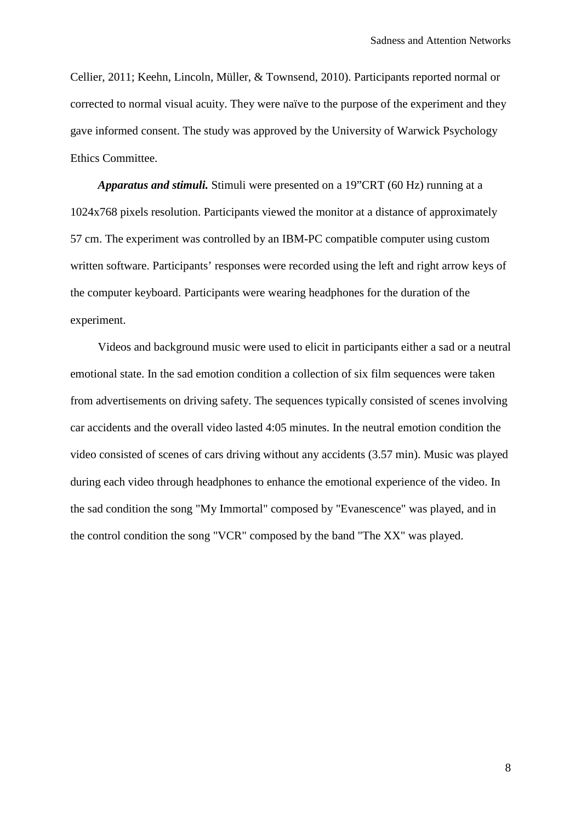Cellier, 2011; Keehn, Lincoln, Müller, & Townsend, 2010). Participants reported normal or corrected to normal visual acuity. They were naïve to the purpose of the experiment and they gave informed consent. The study was approved by the University of Warwick Psychology Ethics Committee.

*Apparatus and stimuli.* Stimuli were presented on a 19"CRT (60 Hz) running at a 1024x768 pixels resolution. Participants viewed the monitor at a distance of approximately 57 cm. The experiment was controlled by an IBM-PC compatible computer using custom written software. Participants' responses were recorded using the left and right arrow keys of the computer keyboard. Participants were wearing headphones for the duration of the experiment.

Videos and background music were used to elicit in participants either a sad or a neutral emotional state. In the sad emotion condition a collection of six film sequences were taken from advertisements on driving safety. The sequences typically consisted of scenes involving car accidents and the overall video lasted 4:05 minutes. In the neutral emotion condition the video consisted of scenes of cars driving without any accidents (3.57 min). Music was played during each video through headphones to enhance the emotional experience of the video. In the sad condition the song "My Immortal" composed by "Evanescence" was played, and in the control condition the song "VCR" composed by the band "The XX" was played.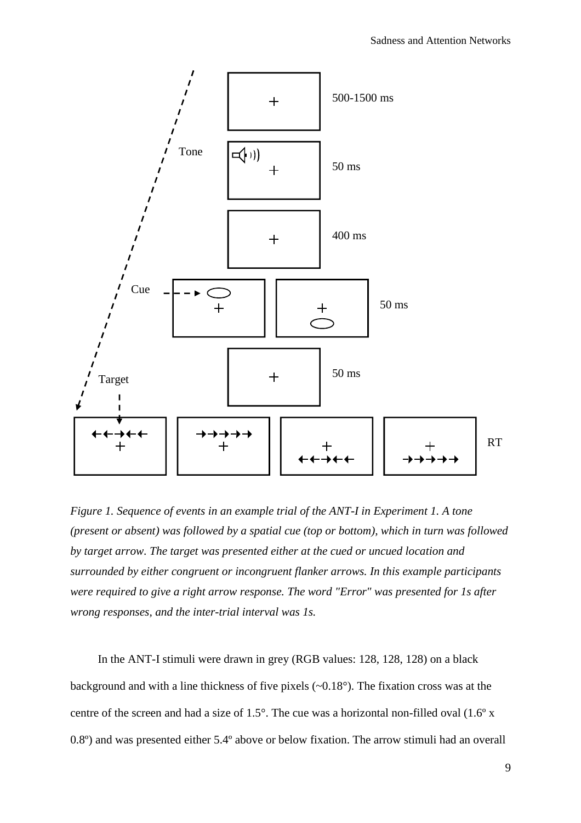

*Figure 1. Sequence of events in an example trial of the ANT-I in Experiment 1. A tone (present or absent) was followed by a spatial cue (top or bottom), which in turn was followed by target arrow. The target was presented either at the cued or uncued location and surrounded by either congruent or incongruent flanker arrows. In this example participants were required to give a right arrow response. The word "Error" was presented for 1s after wrong responses, and the inter-trial interval was 1s.*

In the ANT-I stimuli were drawn in grey (RGB values: 128, 128, 128) on a black background and with a line thickness of five pixels (~0.18°). The fixation cross was at the centre of the screen and had a size of 1.5°. The cue was a horizontal non-filled oval (1.6º x 0.8º) and was presented either 5.4º above or below fixation. The arrow stimuli had an overall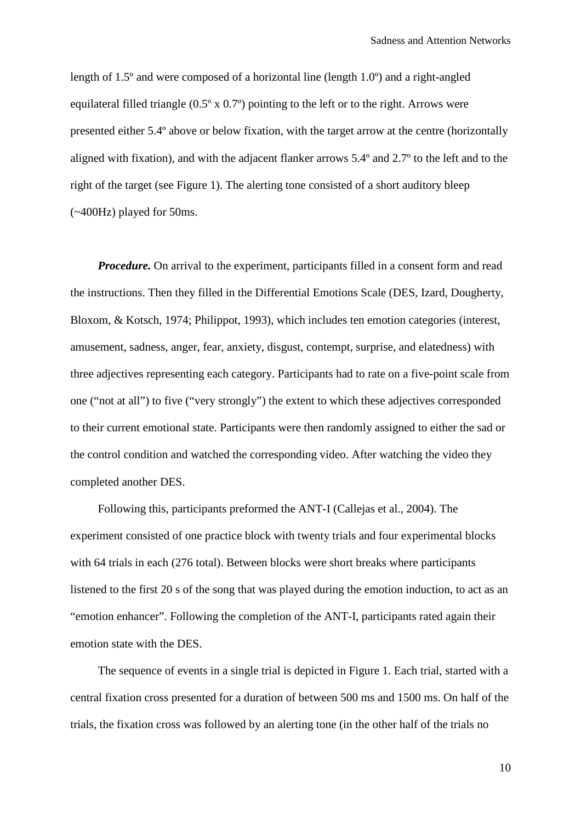length of 1.5º and were composed of a horizontal line (length 1.0º) and a right-angled equilateral filled triangle  $(0.5^{\circ} \times 0.7^{\circ})$  pointing to the left or to the right. Arrows were presented either 5.4º above or below fixation, with the target arrow at the centre (horizontally aligned with fixation), and with the adjacent flanker arrows 5.4º and 2.7º to the left and to the right of the target (see Figure 1). The alerting tone consisted of a short auditory bleep (~400Hz) played for 50ms.

*Procedure*. On arrival to the experiment, participants filled in a consent form and read the instructions. Then they filled in the Differential Emotions Scale (DES, Izard, Dougherty, Bloxom, & Kotsch, 1974; Philippot, 1993), which includes ten emotion categories (interest, amusement, sadness, anger, fear, anxiety, disgust, contempt, surprise, and elatedness) with three adjectives representing each category. Participants had to rate on a five-point scale from one ("not at all") to five ("very strongly") the extent to which these adjectives corresponded to their current emotional state. Participants were then randomly assigned to either the sad or the control condition and watched the corresponding video. After watching the video they completed another DES.

Following this, participants preformed the ANT-I (Callejas et al., 2004). The experiment consisted of one practice block with twenty trials and four experimental blocks with 64 trials in each (276 total). Between blocks were short breaks where participants listened to the first 20 s of the song that was played during the emotion induction, to act as an "emotion enhancer". Following the completion of the ANT-I, participants rated again their emotion state with the DES.

The sequence of events in a single trial is depicted in Figure 1. Each trial, started with a central fixation cross presented for a duration of between 500 ms and 1500 ms. On half of the trials, the fixation cross was followed by an alerting tone (in the other half of the trials no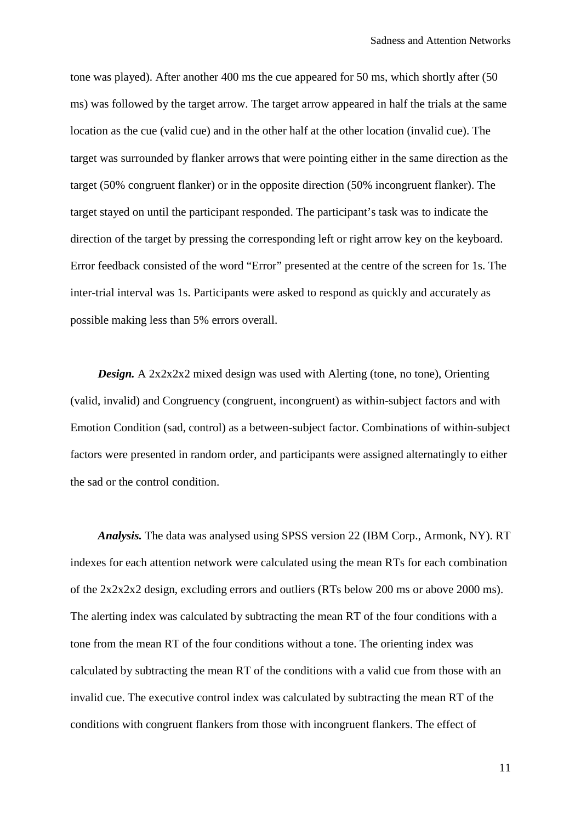tone was played). After another 400 ms the cue appeared for 50 ms, which shortly after (50 ms) was followed by the target arrow. The target arrow appeared in half the trials at the same location as the cue (valid cue) and in the other half at the other location (invalid cue). The target was surrounded by flanker arrows that were pointing either in the same direction as the target (50% congruent flanker) or in the opposite direction (50% incongruent flanker). The target stayed on until the participant responded. The participant's task was to indicate the direction of the target by pressing the corresponding left or right arrow key on the keyboard. Error feedback consisted of the word "Error" presented at the centre of the screen for 1s. The inter-trial interval was 1s. Participants were asked to respond as quickly and accurately as possible making less than 5% errors overall.

*Design.* A 2x2x2x2 mixed design was used with Alerting (tone, no tone), Orienting (valid, invalid) and Congruency (congruent, incongruent) as within-subject factors and with Emotion Condition (sad, control) as a between-subject factor. Combinations of within-subject factors were presented in random order, and participants were assigned alternatingly to either the sad or the control condition.

*Analysis.* The data was analysed using SPSS version 22 (IBM Corp., Armonk, NY). RT indexes for each attention network were calculated using the mean RTs for each combination of the 2x2x2x2 design, excluding errors and outliers (RTs below 200 ms or above 2000 ms). The alerting index was calculated by subtracting the mean RT of the four conditions with a tone from the mean RT of the four conditions without a tone. The orienting index was calculated by subtracting the mean RT of the conditions with a valid cue from those with an invalid cue. The executive control index was calculated by subtracting the mean RT of the conditions with congruent flankers from those with incongruent flankers. The effect of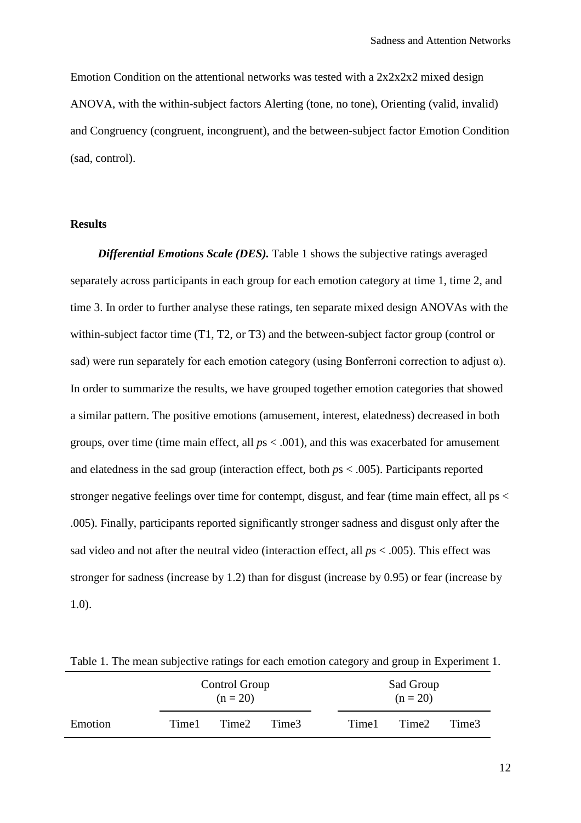Emotion Condition on the attentional networks was tested with a 2x2x2x2 mixed design ANOVA, with the within-subject factors Alerting (tone, no tone), Orienting (valid, invalid) and Congruency (congruent, incongruent), and the between-subject factor Emotion Condition (sad, control).

# **Results**

*Differential Emotions Scale (DES).* Table 1 shows the subjective ratings averaged separately across participants in each group for each emotion category at time 1, time 2, and time 3. In order to further analyse these ratings, ten separate mixed design ANOVAs with the within-subject factor time (T1, T2, or T3) and the between-subject factor group (control or sad) were run separately for each emotion category (using Bonferroni correction to adjust  $\alpha$ ). In order to summarize the results, we have grouped together emotion categories that showed a similar pattern. The positive emotions (amusement, interest, elatedness) decreased in both groups, over time (time main effect, all *p*s < .001), and this was exacerbated for amusement and elatedness in the sad group (interaction effect, both *p*s < .005). Participants reported stronger negative feelings over time for contempt, disgust, and fear (time main effect, all ps < .005). Finally, participants reported significantly stronger sadness and disgust only after the sad video and not after the neutral video (interaction effect, all *p*s < .005). This effect was stronger for sadness (increase by 1.2) than for disgust (increase by 0.95) or fear (increase by 1.0).

|         | $\cdot$<br>Control Group<br>$(n = 20)$ |       | Sad Group<br>$(n = 20)$ |       |       |       |
|---------|----------------------------------------|-------|-------------------------|-------|-------|-------|
| Emotion | Time1                                  | Time2 | Time3                   | Time1 | Time2 | Time3 |

Table 1. The mean subjective ratings for each emotion category and group in Experiment 1.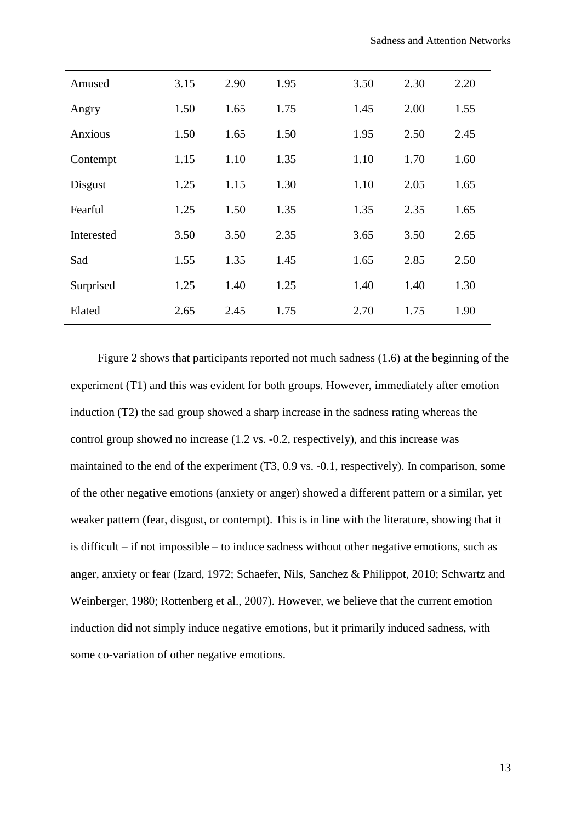| Amused     | 3.15 | 2.90 | 1.95 | 3.50 | 2.30 | 2.20 |
|------------|------|------|------|------|------|------|
| Angry      | 1.50 | 1.65 | 1.75 | 1.45 | 2.00 | 1.55 |
| Anxious    | 1.50 | 1.65 | 1.50 | 1.95 | 2.50 | 2.45 |
| Contempt   | 1.15 | 1.10 | 1.35 | 1.10 | 1.70 | 1.60 |
| Disgust    | 1.25 | 1.15 | 1.30 | 1.10 | 2.05 | 1.65 |
| Fearful    | 1.25 | 1.50 | 1.35 | 1.35 | 2.35 | 1.65 |
| Interested | 3.50 | 3.50 | 2.35 | 3.65 | 3.50 | 2.65 |
| Sad        | 1.55 | 1.35 | 1.45 | 1.65 | 2.85 | 2.50 |
| Surprised  | 1.25 | 1.40 | 1.25 | 1.40 | 1.40 | 1.30 |
| Elated     | 2.65 | 2.45 | 1.75 | 2.70 | 1.75 | 1.90 |

Figure 2 shows that participants reported not much sadness (1.6) at the beginning of the experiment (T1) and this was evident for both groups. However, immediately after emotion induction (T2) the sad group showed a sharp increase in the sadness rating whereas the control group showed no increase (1.2 vs. -0.2, respectively), and this increase was maintained to the end of the experiment (T3, 0.9 vs. -0.1, respectively). In comparison, some of the other negative emotions (anxiety or anger) showed a different pattern or a similar, yet weaker pattern (fear, disgust, or contempt). This is in line with the literature, showing that it is difficult – if not impossible – to induce sadness without other negative emotions, such as anger, anxiety or fear (Izard, 1972; Schaefer, Nils, Sanchez & Philippot, 2010; Schwartz and Weinberger, 1980; Rottenberg et al., 2007). However, we believe that the current emotion induction did not simply induce negative emotions, but it primarily induced sadness, with some co-variation of other negative emotions.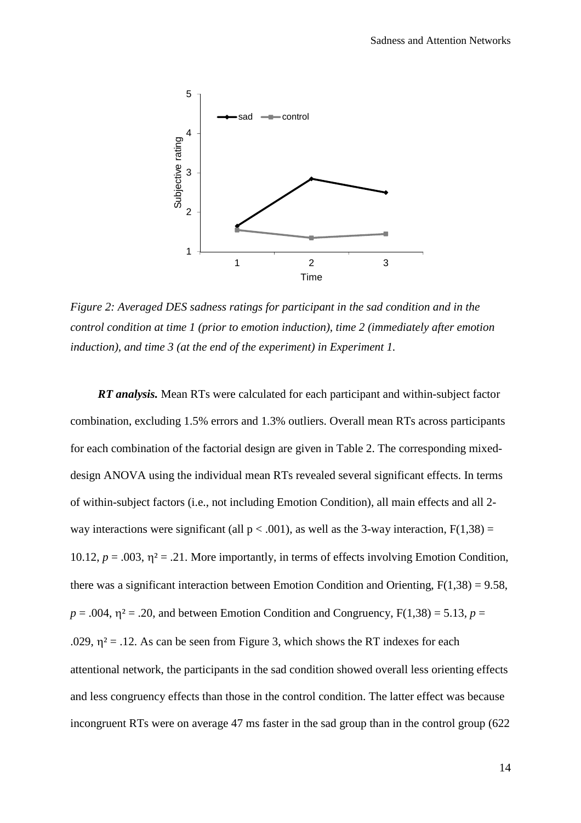

*Figure 2: Averaged DES sadness ratings for participant in the sad condition and in the control condition at time 1 (prior to emotion induction), time 2 (immediately after emotion induction), and time 3 (at the end of the experiment) in Experiment 1.*

*RT analysis.* Mean RTs were calculated for each participant and within-subject factor combination, excluding 1.5% errors and 1.3% outliers. Overall mean RTs across participants for each combination of the factorial design are given in Table 2. The corresponding mixeddesign ANOVA using the individual mean RTs revealed several significant effects. In terms of within-subject factors (i.e., not including Emotion Condition), all main effects and all 2 way interactions were significant (all  $p < .001$ ), as well as the 3-way interaction,  $F(1,38) =$ 10.12,  $p = .003$ ,  $\eta^2 = .21$ . More importantly, in terms of effects involving Emotion Condition, there was a significant interaction between Emotion Condition and Orienting,  $F(1,38) = 9.58$ ,  $p = .004$ ,  $\eta^2 = .20$ , and between Emotion Condition and Congruency,  $F(1,38) = 5.13$ ,  $p =$ .029,  $\eta^2$  = .12. As can be seen from Figure 3, which shows the RT indexes for each attentional network, the participants in the sad condition showed overall less orienting effects and less congruency effects than those in the control condition. The latter effect was because incongruent RTs were on average 47 ms faster in the sad group than in the control group (622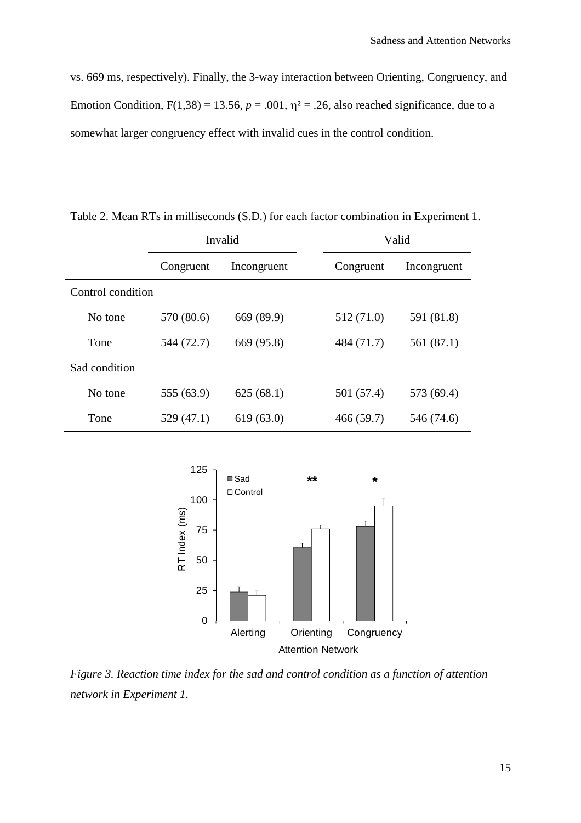vs. 669 ms, respectively). Finally, the 3-way interaction between Orienting, Congruency, and Emotion Condition,  $F(1,38) = 13.56$ ,  $p = .001$ ,  $\eta^2 = .26$ , also reached significance, due to a somewhat larger congruency effect with invalid cues in the control condition.

|                   | Invalid    |             | Valid      |             |  |
|-------------------|------------|-------------|------------|-------------|--|
|                   | Congruent  | Incongruent | Congruent  | Incongruent |  |
| Control condition |            |             |            |             |  |
| No tone           | 570 (80.6) | 669 (89.9)  | 512 (71.0) | 591 (81.8)  |  |
| Tone              | 544 (72.7) | 669 (95.8)  | 484 (71.7) | 561 (87.1)  |  |
| Sad condition     |            |             |            |             |  |
| No tone           | 555 (63.9) | 625(68.1)   | 501 (57.4) | 573 (69.4)  |  |
| Tone              | 529 (47.1) | 619(63.0)   | 466(59.7)  | 546 (74.6)  |  |

Table 2. Mean RTs in milliseconds (S.D.) for each factor combination in Experiment 1.



*Figure 3. Reaction time index for the sad and control condition as a function of attention network in Experiment 1.*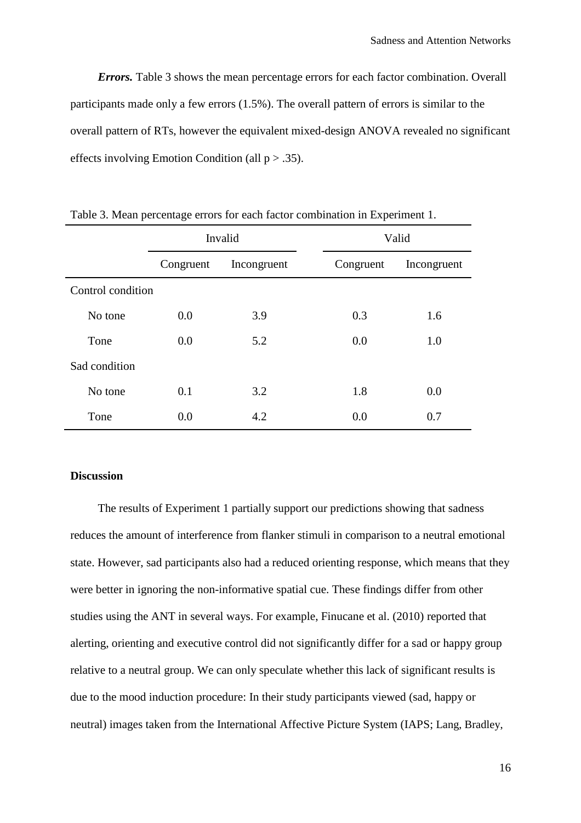*Errors.* Table 3 shows the mean percentage errors for each factor combination. Overall participants made only a few errors (1.5%). The overall pattern of errors is similar to the overall pattern of RTs, however the equivalent mixed-design ANOVA revealed no significant effects involving Emotion Condition (all  $p > .35$ ).

|                   | Invalid   |             | Valid     |             |  |
|-------------------|-----------|-------------|-----------|-------------|--|
|                   | Congruent | Incongruent | Congruent | Incongruent |  |
| Control condition |           |             |           |             |  |
| No tone           | 0.0       | 3.9         | 0.3       | 1.6         |  |
| Tone              | 0.0       | 5.2         | 0.0       | 1.0         |  |
| Sad condition     |           |             |           |             |  |
| No tone           | 0.1       | 3.2         | 1.8       | 0.0         |  |
| Tone              | 0.0       | 4.2         | 0.0       | 0.7         |  |

Table 3. Mean percentage errors for each factor combination in Experiment 1.

### **Discussion**

The results of Experiment 1 partially support our predictions showing that sadness reduces the amount of interference from flanker stimuli in comparison to a neutral emotional state. However, sad participants also had a reduced orienting response, which means that they were better in ignoring the non-informative spatial cue. These findings differ from other studies using the ANT in several ways. For example, Finucane et al. (2010) reported that alerting, orienting and executive control did not significantly differ for a sad or happy group relative to a neutral group. We can only speculate whether this lack of significant results is due to the mood induction procedure: In their study participants viewed (sad, happy or neutral) images taken from the International Affective Picture System (IAPS; Lang, Bradley,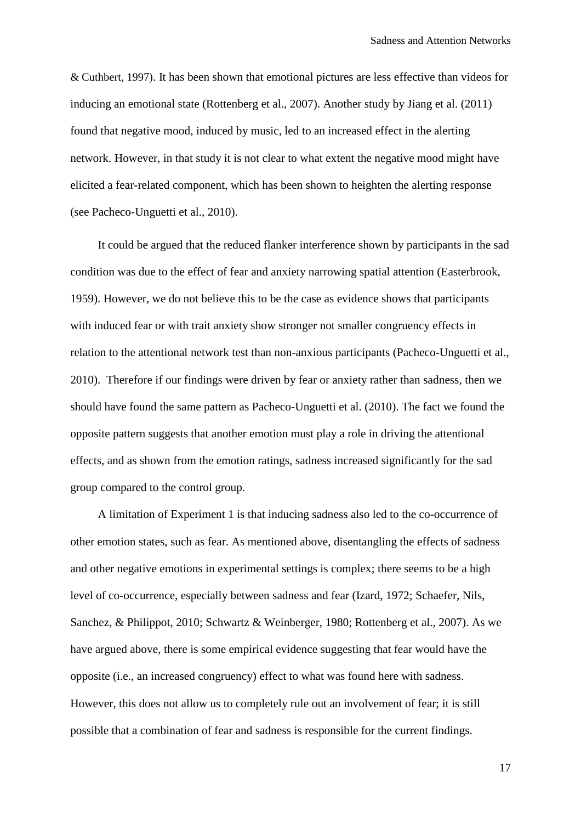& Cuthbert, 1997). It has been shown that emotional pictures are less effective than videos for inducing an emotional state (Rottenberg et al., 2007). Another study by Jiang et al. (2011) found that negative mood, induced by music, led to an increased effect in the alerting network. However, in that study it is not clear to what extent the negative mood might have elicited a fear-related component, which has been shown to heighten the alerting response (see Pacheco-Unguetti et al., 2010).

It could be argued that the reduced flanker interference shown by participants in the sad condition was due to the effect of fear and anxiety narrowing spatial attention (Easterbrook, 1959). However, we do not believe this to be the case as evidence shows that participants with induced fear or with trait anxiety show stronger not smaller congruency effects in relation to the attentional network test than non-anxious participants (Pacheco-Unguetti et al., 2010). Therefore if our findings were driven by fear or anxiety rather than sadness, then we should have found the same pattern as Pacheco-Unguetti et al. (2010). The fact we found the opposite pattern suggests that another emotion must play a role in driving the attentional effects, and as shown from the emotion ratings, sadness increased significantly for the sad group compared to the control group.

A limitation of Experiment 1 is that inducing sadness also led to the co-occurrence of other emotion states, such as fear. As mentioned above, disentangling the effects of sadness and other negative emotions in experimental settings is complex; there seems to be a high level of co-occurrence, especially between sadness and fear (Izard, 1972; Schaefer, Nils, Sanchez, & Philippot, 2010; Schwartz & Weinberger, 1980; Rottenberg et al., 2007). As we have argued above, there is some empirical evidence suggesting that fear would have the opposite (i.e., an increased congruency) effect to what was found here with sadness. However, this does not allow us to completely rule out an involvement of fear; it is still possible that a combination of fear and sadness is responsible for the current findings.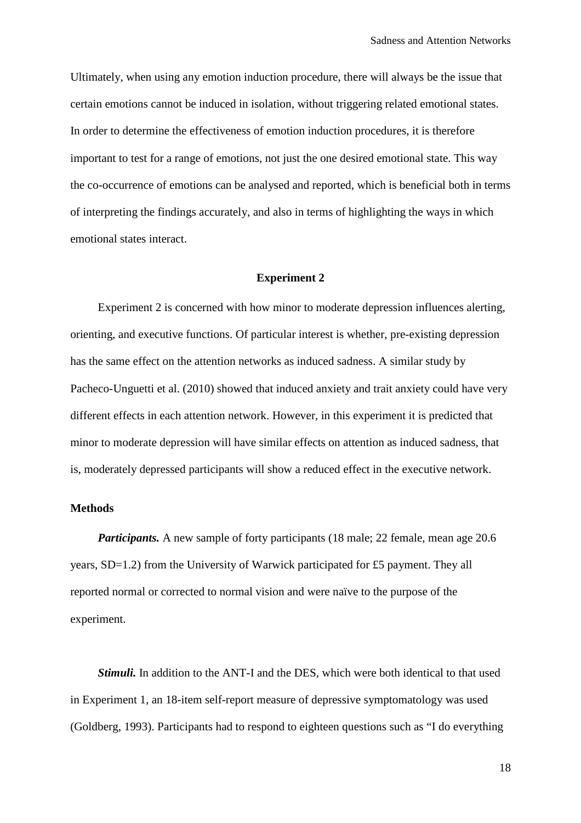Ultimately, when using any emotion induction procedure, there will always be the issue that certain emotions cannot be induced in isolation, without triggering related emotional states. In order to determine the effectiveness of emotion induction procedures, it is therefore important to test for a range of emotions, not just the one desired emotional state. This way the co-occurrence of emotions can be analysed and reported, which is beneficial both in terms of interpreting the findings accurately, and also in terms of highlighting the ways in which emotional states interact.

### **Experiment 2**

Experiment 2 is concerned with how minor to moderate depression influences alerting, orienting, and executive functions. Of particular interest is whether, pre-existing depression has the same effect on the attention networks as induced sadness. A similar study by Pacheco-Unguetti et al. (2010) showed that induced anxiety and trait anxiety could have very different effects in each attention network. However, in this experiment it is predicted that minor to moderate depression will have similar effects on attention as induced sadness, that is, moderately depressed participants will show a reduced effect in the executive network.

## **Methods**

*Participants.* A new sample of forty participants (18 male; 22 female, mean age 20.6) years, SD=1.2) from the University of Warwick participated for £5 payment. They all reported normal or corrected to normal vision and were naïve to the purpose of the experiment.

*Stimuli.* In addition to the ANT-I and the DES, which were both identical to that used in Experiment 1, an 18-item self-report measure of depressive symptomatology was used (Goldberg, 1993). Participants had to respond to eighteen questions such as "I do everything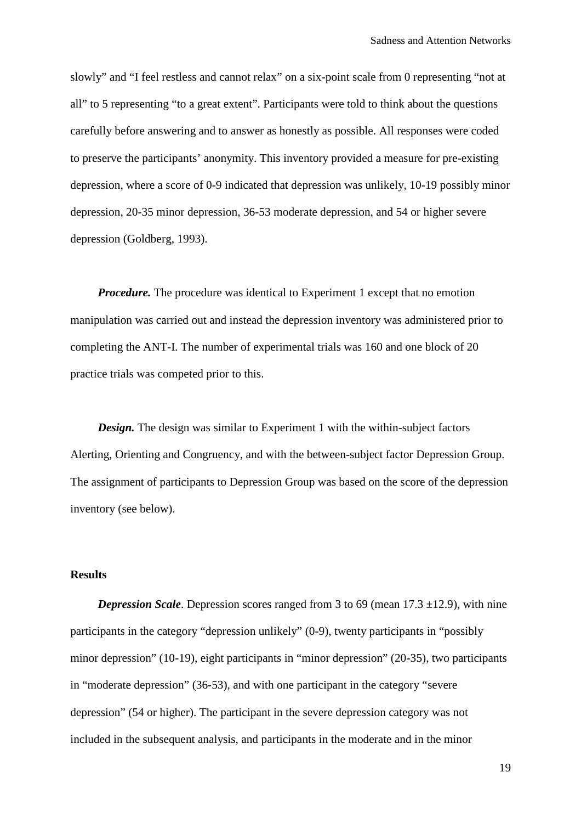slowly" and "I feel restless and cannot relax" on a six-point scale from 0 representing "not at all" to 5 representing "to a great extent". Participants were told to think about the questions carefully before answering and to answer as honestly as possible. All responses were coded to preserve the participants' anonymity. This inventory provided a measure for pre-existing depression, where a score of 0-9 indicated that depression was unlikely, 10-19 possibly minor depression, 20-35 minor depression, 36-53 moderate depression, and 54 or higher severe depression (Goldberg, 1993).

*Procedure.* The procedure was identical to Experiment 1 except that no emotion manipulation was carried out and instead the depression inventory was administered prior to completing the ANT-I. The number of experimental trials was 160 and one block of 20 practice trials was competed prior to this.

*Design.* The design was similar to Experiment 1 with the within-subject factors Alerting, Orienting and Congruency, and with the between-subject factor Depression Group. The assignment of participants to Depression Group was based on the score of the depression inventory (see below).

# **Results**

*Depression Scale.* Depression scores ranged from 3 to 69 (mean 17.3 ±12.9), with nine participants in the category "depression unlikely" (0-9), twenty participants in "possibly minor depression" (10-19), eight participants in "minor depression" (20-35), two participants in "moderate depression" (36-53), and with one participant in the category "severe depression" (54 or higher). The participant in the severe depression category was not included in the subsequent analysis, and participants in the moderate and in the minor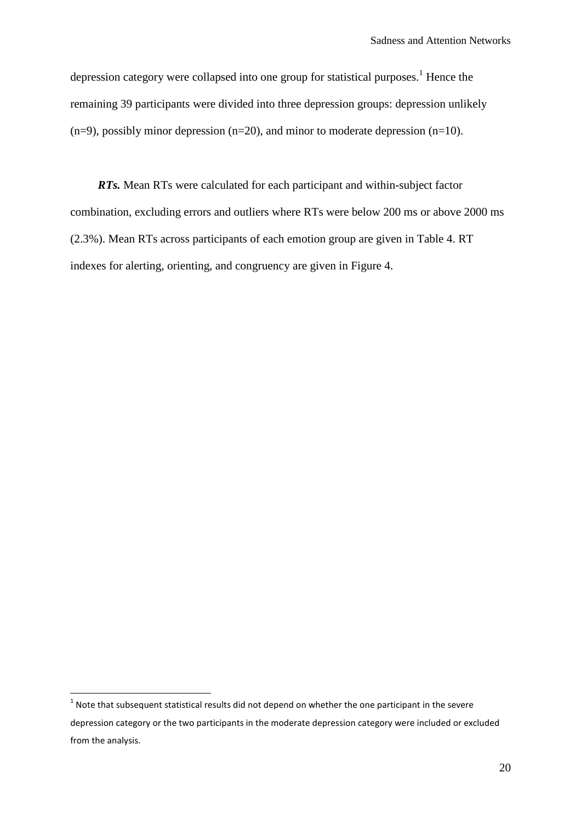depression category were collapsed into one group for statistical purposes.<sup>1</sup> Hence the remaining 39 participants were divided into three depression groups: depression unlikely  $(n=9)$ , possibly minor depression  $(n=20)$ , and minor to moderate depression  $(n=10)$ .

*RTs.* Mean RTs were calculated for each participant and within-subject factor combination, excluding errors and outliers where RTs were below 200 ms or above 2000 ms (2.3%). Mean RTs across participants of each emotion group are given in Table 4. RT indexes for alerting, orienting, and congruency are given in Figure 4.

 $<sup>1</sup>$  Note that subsequent statistical results did not depend on whether the one participant in the severe</sup> depression category or the two participants in the moderate depression category were included or excluded from the analysis.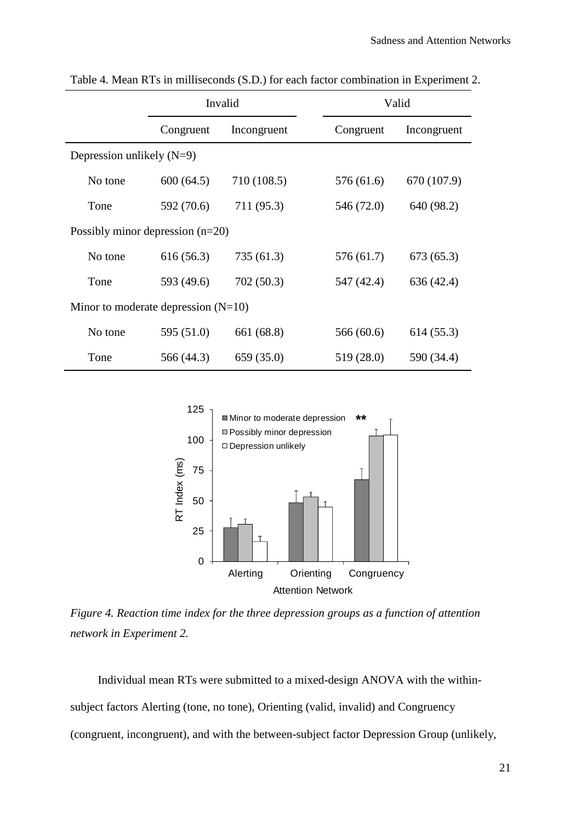|                                       | Invalid    |             |  | Valid      |             |  |
|---------------------------------------|------------|-------------|--|------------|-------------|--|
|                                       | Congruent  | Incongruent |  | Congruent  | Incongruent |  |
| Depression unlikely $(N=9)$           |            |             |  |            |             |  |
| No tone                               | 600(64.5)  | 710 (108.5) |  | 576 (61.6) | 670 (107.9) |  |
| Tone                                  | 592 (70.6) | 711 (95.3)  |  | 546 (72.0) | 640 (98.2)  |  |
| Possibly minor depression $(n=20)$    |            |             |  |            |             |  |
| No tone                               | 616(56.3)  | 735 (61.3)  |  | 576 (61.7) | 673(65.3)   |  |
| Tone                                  | 593 (49.6) | 702 (50.3)  |  | 547 (42.4) | 636 (42.4)  |  |
| Minor to moderate depression $(N=10)$ |            |             |  |            |             |  |
| No tone                               | 595 (51.0) | 661 (68.8)  |  | 566 (60.6) | 614 (55.3)  |  |
| Tone                                  | 566 (44.3) | 659 (35.0)  |  | 519 (28.0) | 590 (34.4)  |  |

Table 4. Mean RTs in milliseconds (S.D.) for each factor combination in Experiment 2.



*Figure 4. Reaction time index for the three depression groups as a function of attention network in Experiment 2.*

Individual mean RTs were submitted to a mixed-design ANOVA with the withinsubject factors Alerting (tone, no tone), Orienting (valid, invalid) and Congruency (congruent, incongruent), and with the between-subject factor Depression Group (unlikely,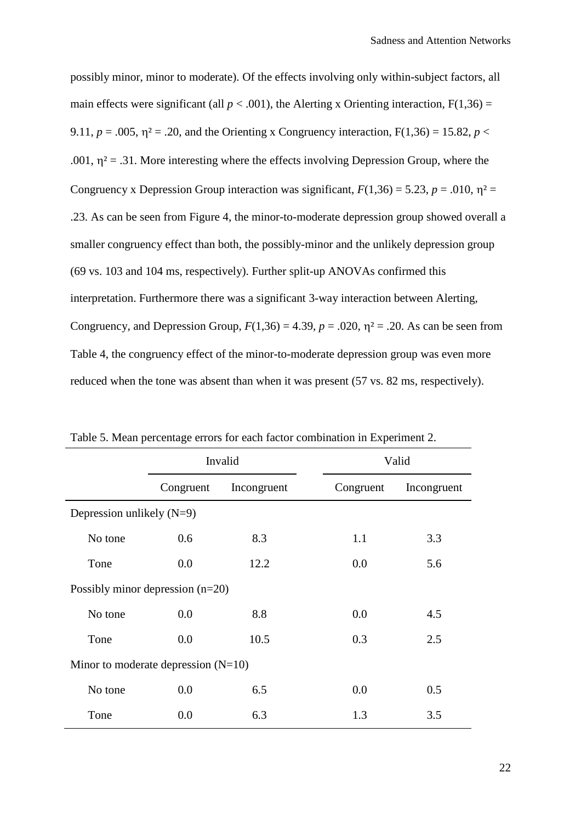possibly minor, minor to moderate). Of the effects involving only within-subject factors, all main effects were significant (all  $p < .001$ ), the Alerting x Orienting interaction,  $F(1,36) =$ 9.11,  $p = .005$ ,  $\eta^2 = .20$ , and the Orienting x Congruency interaction,  $F(1,36) = 15.82$ ,  $p <$ .001,  $\eta^2$  = .31. More interesting where the effects involving Depression Group, where the Congruency x Depression Group interaction was significant,  $F(1,36) = 5.23$ ,  $p = .010$ ,  $\eta^2 =$ .23. As can be seen from Figure 4, the minor-to-moderate depression group showed overall a smaller congruency effect than both, the possibly-minor and the unlikely depression group (69 vs. 103 and 104 ms, respectively). Further split-up ANOVAs confirmed this interpretation. Furthermore there was a significant 3-way interaction between Alerting, Congruency, and Depression Group,  $F(1,36) = 4.39$ ,  $p = .020$ ,  $\eta^2 = .20$ . As can be seen from Table 4, the congruency effect of the minor-to-moderate depression group was even more reduced when the tone was absent than when it was present (57 vs. 82 ms, respectively).

|                                       | Invalid   |             |           | Valid       |  |  |
|---------------------------------------|-----------|-------------|-----------|-------------|--|--|
|                                       | Congruent | Incongruent | Congruent | Incongruent |  |  |
| Depression unlikely $(N=9)$           |           |             |           |             |  |  |
| No tone                               | 0.6       | 8.3         | 1.1       | 3.3         |  |  |
| Tone                                  | 0.0       | 12.2        | 0.0       | 5.6         |  |  |
| Possibly minor depression $(n=20)$    |           |             |           |             |  |  |
| No tone                               | 0.0       | 8.8         | 0.0       | 4.5         |  |  |
| Tone                                  | 0.0       | 10.5        | 0.3       | 2.5         |  |  |
| Minor to moderate depression $(N=10)$ |           |             |           |             |  |  |
| No tone                               | 0.0       | 6.5         | 0.0       | 0.5         |  |  |
| Tone                                  | 0.0       | 6.3         | 1.3       | 3.5         |  |  |

Table 5. Mean percentage errors for each factor combination in Experiment 2.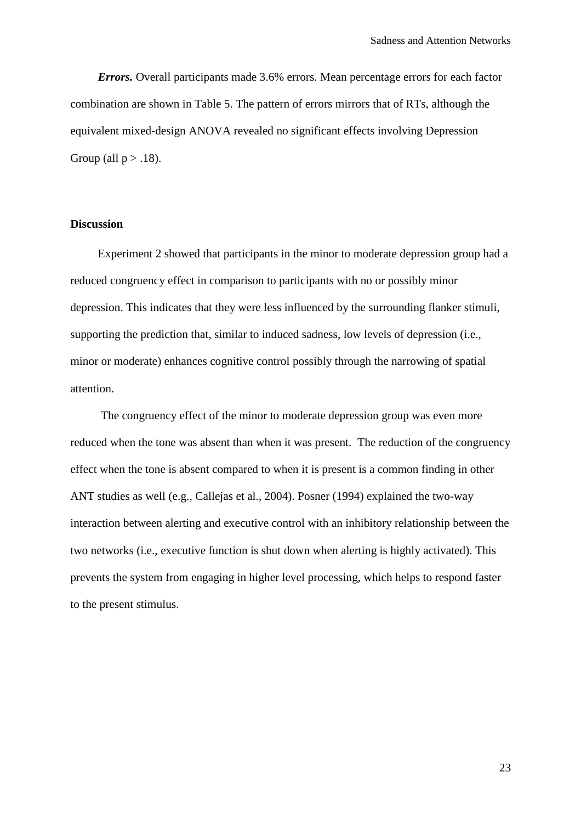*Errors.* Overall participants made 3.6% errors. Mean percentage errors for each factor combination are shown in Table 5. The pattern of errors mirrors that of RTs, although the equivalent mixed-design ANOVA revealed no significant effects involving Depression Group (all  $p > .18$ ).

# **Discussion**

Experiment 2 showed that participants in the minor to moderate depression group had a reduced congruency effect in comparison to participants with no or possibly minor depression. This indicates that they were less influenced by the surrounding flanker stimuli, supporting the prediction that, similar to induced sadness, low levels of depression (i.e., minor or moderate) enhances cognitive control possibly through the narrowing of spatial attention.

The congruency effect of the minor to moderate depression group was even more reduced when the tone was absent than when it was present. The reduction of the congruency effect when the tone is absent compared to when it is present is a common finding in other ANT studies as well (e.g., Callejas et al., 2004). Posner (1994) explained the two-way interaction between alerting and executive control with an inhibitory relationship between the two networks (i.e., executive function is shut down when alerting is highly activated). This prevents the system from engaging in higher level processing, which helps to respond faster to the present stimulus.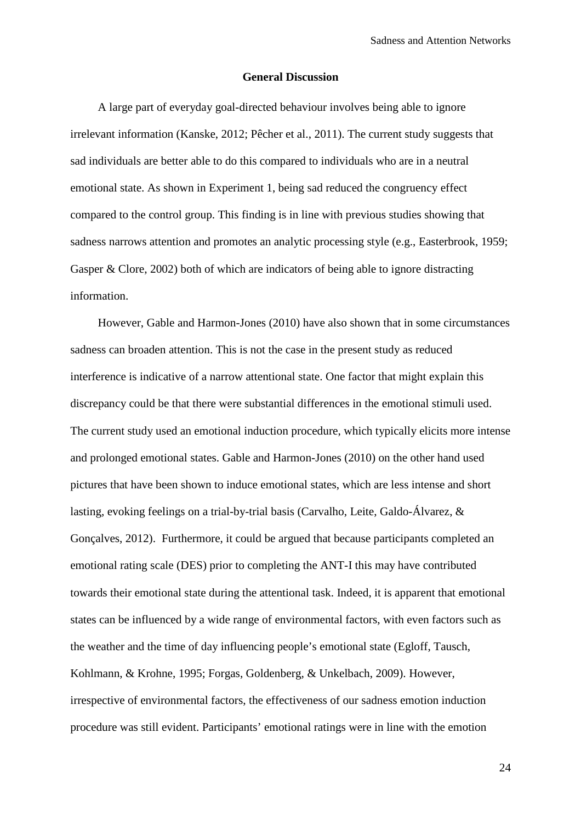### **General Discussion**

A large part of everyday goal-directed behaviour involves being able to ignore irrelevant information (Kanske, 2012; Pêcher et al., 2011). The current study suggests that sad individuals are better able to do this compared to individuals who are in a neutral emotional state. As shown in Experiment 1, being sad reduced the congruency effect compared to the control group. This finding is in line with previous studies showing that sadness narrows attention and promotes an analytic processing style (e.g., Easterbrook, 1959; Gasper & Clore, 2002) both of which are indicators of being able to ignore distracting information.

However, Gable and Harmon-Jones (2010) have also shown that in some circumstances sadness can broaden attention. This is not the case in the present study as reduced interference is indicative of a narrow attentional state. One factor that might explain this discrepancy could be that there were substantial differences in the emotional stimuli used. The current study used an emotional induction procedure, which typically elicits more intense and prolonged emotional states. Gable and Harmon-Jones (2010) on the other hand used pictures that have been shown to induce emotional states, which are less intense and short lasting, evoking feelings on a trial-by-trial basis (Carvalho, Leite, Galdo-Álvarez, & Gonçalves, 2012). Furthermore, it could be argued that because participants completed an emotional rating scale (DES) prior to completing the ANT-I this may have contributed towards their emotional state during the attentional task. Indeed, it is apparent that emotional states can be influenced by a wide range of environmental factors, with even factors such as the weather and the time of day influencing people's emotional state (Egloff, Tausch, Kohlmann, & Krohne, 1995; Forgas, Goldenberg, & Unkelbach, 2009). However, irrespective of environmental factors, the effectiveness of our sadness emotion induction procedure was still evident. Participants' emotional ratings were in line with the emotion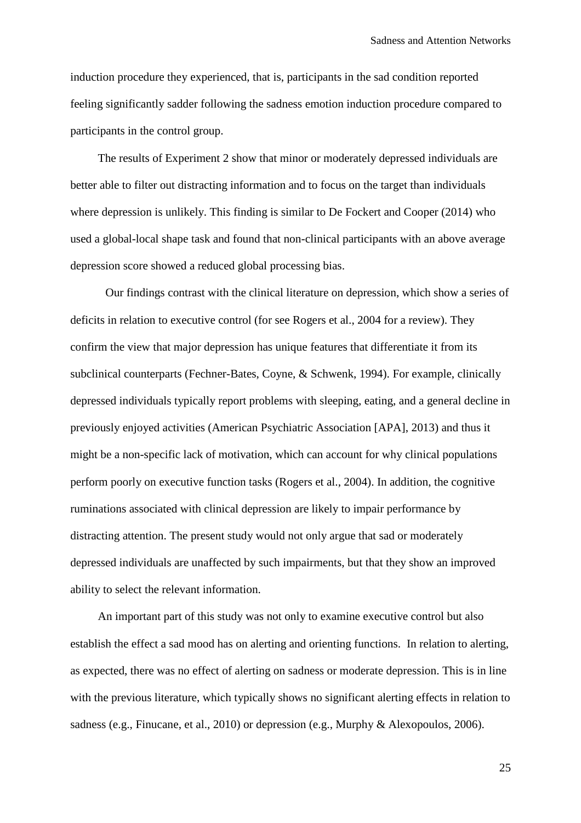induction procedure they experienced, that is, participants in the sad condition reported feeling significantly sadder following the sadness emotion induction procedure compared to participants in the control group.

The results of Experiment 2 show that minor or moderately depressed individuals are better able to filter out distracting information and to focus on the target than individuals where depression is unlikely. This finding is similar to De Fockert and Cooper (2014) who used a global-local shape task and found that non-clinical participants with an above average depression score showed a reduced global processing bias.

Our findings contrast with the clinical literature on depression, which show a series of deficits in relation to executive control (for see Rogers et al., 2004 for a review). They confirm the view that major depression has unique features that differentiate it from its subclinical counterparts (Fechner-Bates, Coyne, & Schwenk, 1994). For example, clinically depressed individuals typically report problems with sleeping, eating, and a general decline in previously enjoyed activities (American Psychiatric Association [APA], 2013) and thus it might be a non-specific lack of motivation, which can account for why clinical populations perform poorly on executive function tasks (Rogers et al., 2004). In addition, the cognitive ruminations associated with clinical depression are likely to impair performance by distracting attention. The present study would not only argue that sad or moderately depressed individuals are unaffected by such impairments, but that they show an improved ability to select the relevant information.

An important part of this study was not only to examine executive control but also establish the effect a sad mood has on alerting and orienting functions. In relation to alerting, as expected, there was no effect of alerting on sadness or moderate depression. This is in line with the previous literature, which typically shows no significant alerting effects in relation to sadness (e.g., Finucane, et al., 2010) or depression (e.g., Murphy & Alexopoulos, 2006).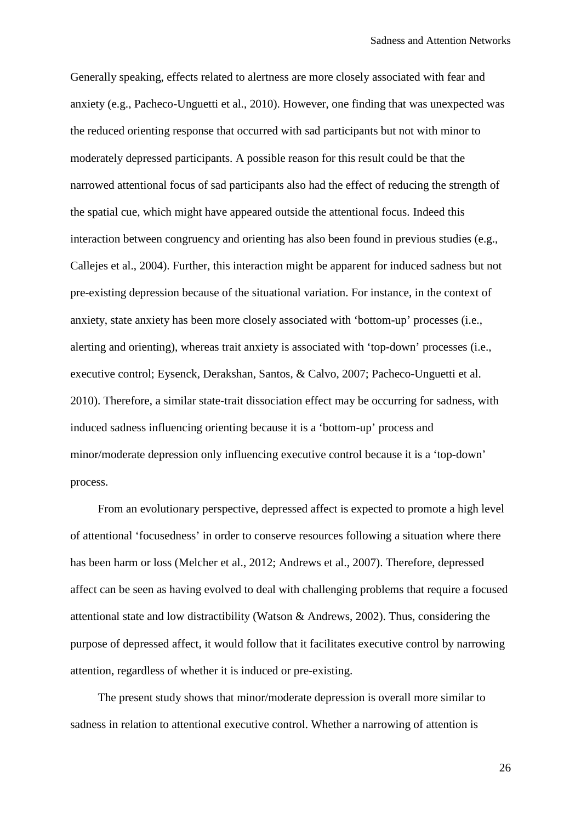Generally speaking, effects related to alertness are more closely associated with fear and anxiety (e.g., Pacheco-Unguetti et al., 2010). However, one finding that was unexpected was the reduced orienting response that occurred with sad participants but not with minor to moderately depressed participants. A possible reason for this result could be that the narrowed attentional focus of sad participants also had the effect of reducing the strength of the spatial cue, which might have appeared outside the attentional focus. Indeed this interaction between congruency and orienting has also been found in previous studies (e.g., Callejes et al., 2004). Further, this interaction might be apparent for induced sadness but not pre-existing depression because of the situational variation. For instance, in the context of anxiety, state anxiety has been more closely associated with 'bottom-up' processes (i.e., alerting and orienting), whereas trait anxiety is associated with 'top-down' processes (i.e., executive control; Eysenck, Derakshan, Santos, & Calvo, 2007; Pacheco-Unguetti et al. 2010). Therefore, a similar state-trait dissociation effect may be occurring for sadness, with induced sadness influencing orienting because it is a 'bottom-up' process and minor/moderate depression only influencing executive control because it is a 'top-down' process.

From an evolutionary perspective, depressed affect is expected to promote a high level of attentional 'focusedness' in order to conserve resources following a situation where there has been harm or loss (Melcher et al., 2012; Andrews et al., 2007). Therefore, depressed affect can be seen as having evolved to deal with challenging problems that require a focused attentional state and low distractibility (Watson & Andrews, 2002). Thus, considering the purpose of depressed affect, it would follow that it facilitates executive control by narrowing attention, regardless of whether it is induced or pre-existing.

The present study shows that minor/moderate depression is overall more similar to sadness in relation to attentional executive control. Whether a narrowing of attention is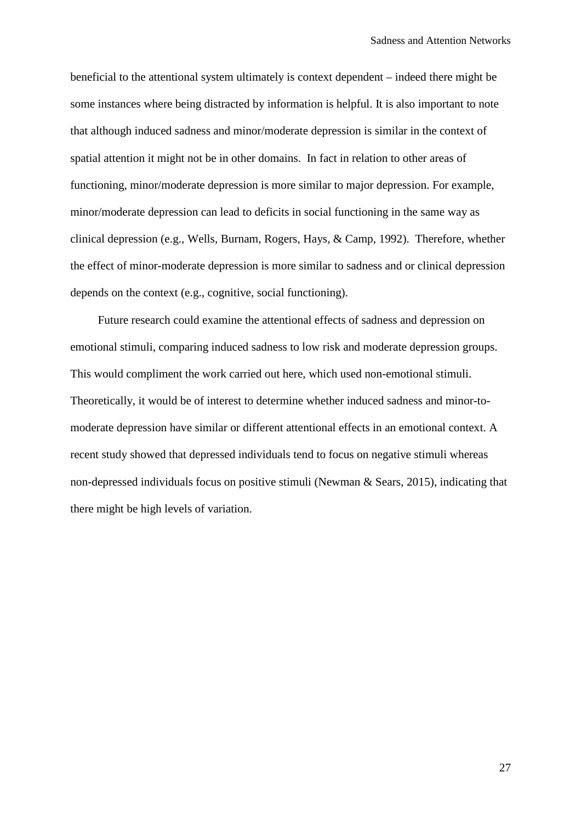beneficial to the attentional system ultimately is context dependent – indeed there might be some instances where being distracted by information is helpful. It is also important to note that although induced sadness and minor/moderate depression is similar in the context of spatial attention it might not be in other domains. In fact in relation to other areas of functioning, minor/moderate depression is more similar to major depression. For example, minor/moderate depression can lead to deficits in social functioning in the same way as clinical depression (e.g., Wells, Burnam, Rogers, Hays, & Camp, 1992). Therefore, whether the effect of minor-moderate depression is more similar to sadness and or clinical depression depends on the context (e.g., cognitive, social functioning).

Future research could examine the attentional effects of sadness and depression on emotional stimuli, comparing induced sadness to low risk and moderate depression groups. This would compliment the work carried out here, which used non-emotional stimuli. Theoretically, it would be of interest to determine whether induced sadness and minor-tomoderate depression have similar or different attentional effects in an emotional context. A recent study showed that depressed individuals tend to focus on negative stimuli whereas non-depressed individuals focus on positive stimuli (Newman & Sears, 2015), indicating that there might be high levels of variation.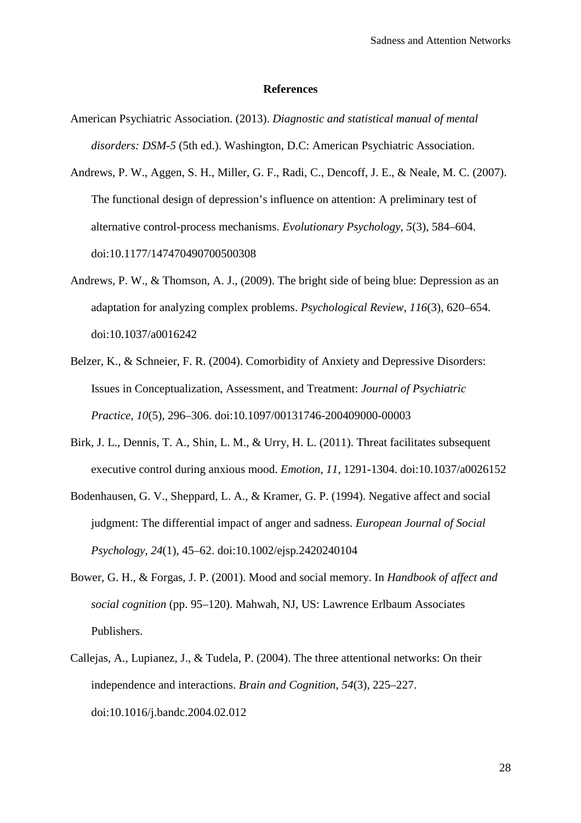### **References**

- American Psychiatric Association. (2013). *Diagnostic and statistical manual of mental disorders: DSM-5* (5th ed.). Washington, D.C: American Psychiatric Association.
- Andrews, P. W., Aggen, S. H., Miller, G. F., Radi, C., Dencoff, J. E., & Neale, M. C. (2007). The functional design of depression's influence on attention: A preliminary test of alternative control-process mechanisms. *Evolutionary Psychology*, *5*(3), 584–604. doi:10.1177/147470490700500308
- Andrews, P. W., & Thomson, A. J., (2009). The bright side of being blue: Depression as an adaptation for analyzing complex problems. *Psychological Review*, *116*(3), 620–654. doi:10.1037/a0016242
- Belzer, K., & Schneier, F. R. (2004). Comorbidity of Anxiety and Depressive Disorders: Issues in Conceptualization, Assessment, and Treatment: *Journal of Psychiatric Practice*, *10*(5), 296–306. doi:10.1097/00131746-200409000-00003
- Birk, J. L., Dennis, T. A., Shin, L. M., & Urry, H. L. (2011). Threat facilitates subsequent executive control during anxious mood. *Emotion*, *11*, 1291-1304. doi:10.1037/a0026152
- Bodenhausen, G. V., Sheppard, L. A., & Kramer, G. P. (1994). Negative affect and social judgment: The differential impact of anger and sadness. *European Journal of Social Psychology*, *24*(1), 45–62. doi:10.1002/ejsp.2420240104
- Bower, G. H., & Forgas, J. P. (2001). Mood and social memory. In *Handbook of affect and social cognition* (pp. 95–120). Mahwah, NJ, US: Lawrence Erlbaum Associates Publishers.
- Callejas, A., Lupianez, J., & Tudela, P. (2004). The three attentional networks: On their independence and interactions. *Brain and Cognition*, *54*(3), 225–227. doi:10.1016/j.bandc.2004.02.012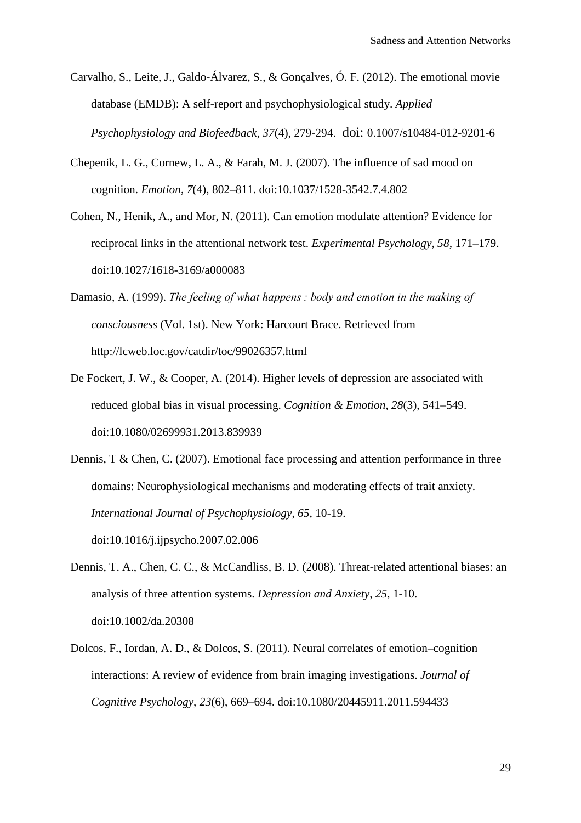- Carvalho, S., Leite, J., Galdo-Álvarez, S., & Gonçalves, Ó. F. (2012). The emotional movie database (EMDB): A self-report and psychophysiological study. *Applied Psychophysiology and Biofeedback, 37*(4), 279-294. doi: 0.1007/s10484-012-9201-6
- Chepenik, L. G., Cornew, L. A., & Farah, M. J. (2007). The influence of sad mood on cognition. *Emotion*, *7*(4), 802–811. doi:10.1037/1528-3542.7.4.802
- Cohen, N., Henik, A., and Mor, N. (2011). Can emotion modulate attention? Evidence for reciprocal links in the attentional network test. *Experimental Psychology, 58*, 171–179. doi:10.1027/1618-3169/a000083
- Damasio, A. (1999). *The feeling of what happens : body and emotion in the making of consciousness* (Vol. 1st). New York: Harcourt Brace. Retrieved from http://lcweb.loc.gov/catdir/toc/99026357.html
- De Fockert, J. W., & Cooper, A. (2014). Higher levels of depression are associated with reduced global bias in visual processing. *Cognition & Emotion*, *28*(3), 541–549. doi:10.1080/02699931.2013.839939
- Dennis, T & Chen, C. (2007). Emotional face processing and attention performance in three domains: Neurophysiological mechanisms and moderating effects of trait anxiety. *International Journal of Psychophysiology*, *65*, 10-19. doi:10.1016/j.ijpsycho.2007.02.006
- Dennis, T. A., Chen, C. C., & McCandliss, B. D. (2008). Threat-related attentional biases: an analysis of three attention systems. *Depression and Anxiety*, *25*, 1-10. doi:10.1002/da.20308
- Dolcos, F., Iordan, A. D., & Dolcos, S. (2011). Neural correlates of emotion–cognition interactions: A review of evidence from brain imaging investigations. *Journal of Cognitive Psychology*, *23*(6), 669–694. doi:10.1080/20445911.2011.594433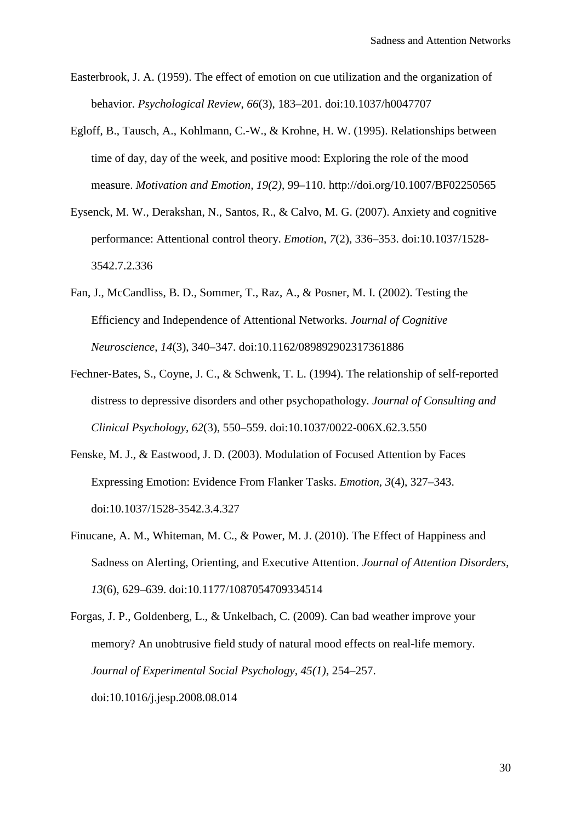- Easterbrook, J. A. (1959). The effect of emotion on cue utilization and the organization of behavior. *Psychological Review*, *66*(3), 183–201. doi:10.1037/h0047707
- Egloff, B., Tausch, A., Kohlmann, C.-W., & Krohne, H. W. (1995). Relationships between time of day, day of the week, and positive mood: Exploring the role of the mood measure. *Motivation and Emotion, 19(2)*, 99–110. http://doi.org/10.1007/BF02250565
- Eysenck, M. W., Derakshan, N., Santos, R., & Calvo, M. G. (2007). Anxiety and cognitive performance: Attentional control theory. *Emotion*, *7*(2), 336–353. doi:10.1037/1528- 3542.7.2.336
- Fan, J., McCandliss, B. D., Sommer, T., Raz, A., & Posner, M. I. (2002). Testing the Efficiency and Independence of Attentional Networks. *Journal of Cognitive Neuroscience*, *14*(3), 340–347. doi:10.1162/089892902317361886
- Fechner-Bates, S., Coyne, J. C., & Schwenk, T. L. (1994). The relationship of self-reported distress to depressive disorders and other psychopathology. *Journal of Consulting and Clinical Psychology*, *62*(3), 550–559. doi:10.1037/0022-006X.62.3.550
- Fenske, M. J., & Eastwood, J. D. (2003). Modulation of Focused Attention by Faces Expressing Emotion: Evidence From Flanker Tasks. *Emotion*, *3*(4), 327–343. doi:10.1037/1528-3542.3.4.327
- Finucane, A. M., Whiteman, M. C., & Power, M. J. (2010). The Effect of Happiness and Sadness on Alerting, Orienting, and Executive Attention. *Journal of Attention Disorders*, *13*(6), 629–639. doi:10.1177/1087054709334514

Forgas, J. P., Goldenberg, L., & Unkelbach, C. (2009). Can bad weather improve your memory? An unobtrusive field study of natural mood effects on real-life memory. *Journal of Experimental Social Psychology, 45(1)*, 254–257. doi:10.1016/j.jesp.2008.08.014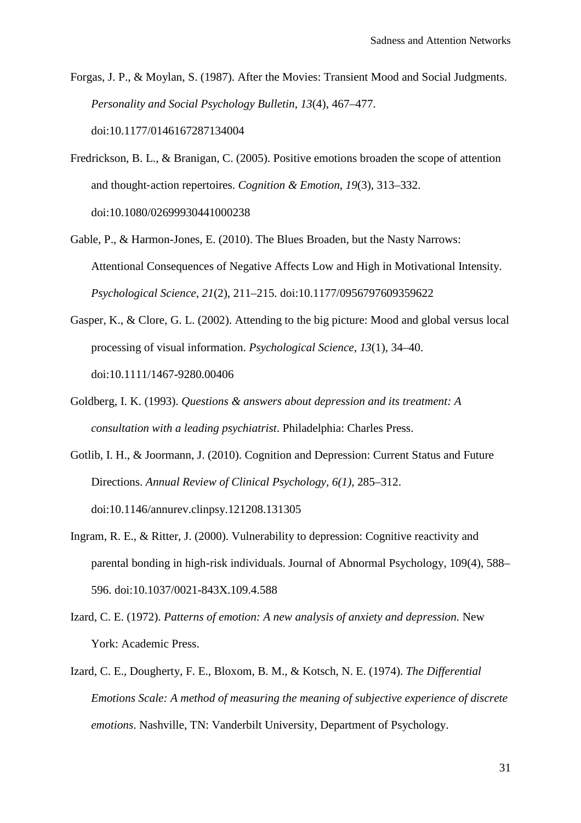Forgas, J. P., & Moylan, S. (1987). After the Movies: Transient Mood and Social Judgments. *Personality and Social Psychology Bulletin*, *13*(4), 467–477. doi:10.1177/0146167287134004

- Fredrickson, B. L., & Branigan, C. (2005). Positive emotions broaden the scope of attention and thought‐action repertoires. *Cognition & Emotion*, *19*(3), 313–332. doi:10.1080/02699930441000238
- Gable, P., & Harmon-Jones, E. (2010). The Blues Broaden, but the Nasty Narrows: Attentional Consequences of Negative Affects Low and High in Motivational Intensity. *Psychological Science*, *21*(2), 211–215. doi:10.1177/0956797609359622
- Gasper, K., & Clore, G. L. (2002). Attending to the big picture: Mood and global versus local processing of visual information. *Psychological Science*, *13*(1), 34–40. doi:10.1111/1467-9280.00406
- Goldberg, I. K. (1993). *Questions & answers about depression and its treatment: A consultation with a leading psychiatrist*. Philadelphia: Charles Press.
- Gotlib, I. H., & Joormann, J. (2010). Cognition and Depression: Current Status and Future Directions. *Annual Review of Clinical Psychology, 6(1)*, 285–312. doi:10.1146/annurev.clinpsy.121208.131305
- Ingram, R. E., & Ritter, J. (2000). Vulnerability to depression: Cognitive reactivity and parental bonding in high-risk individuals. Journal of Abnormal Psychology, 109(4), 588– 596. doi:10.1037/0021-843X.109.4.588
- Izard, C. E. (1972). *Patterns of emotion: A new analysis of anxiety and depression.* New York: Academic Press.
- Izard, C. E., Dougherty, F. E., Bloxom, B. M., & Kotsch, N. E. (1974). *The Differential Emotions Scale: A method of measuring the meaning of subjective experience of discrete emotions*. Nashville, TN: Vanderbilt University, Department of Psychology.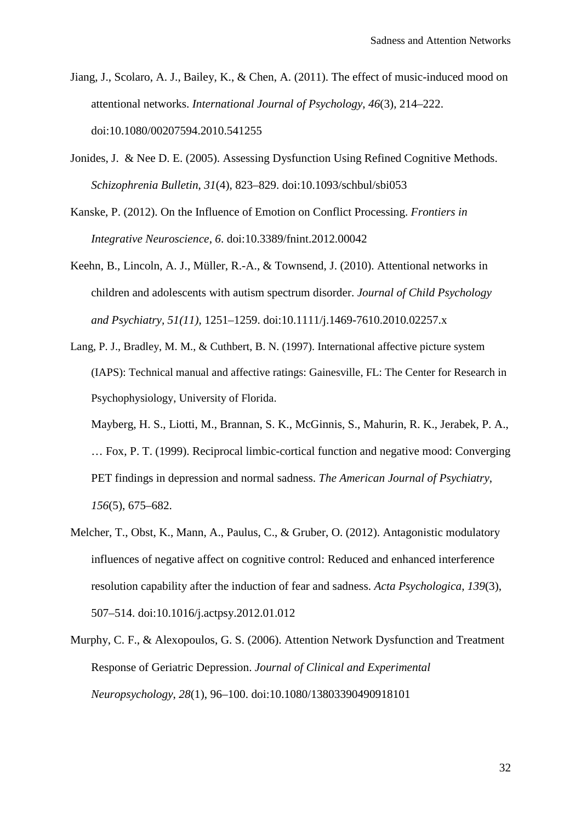- Jiang, J., Scolaro, A. J., Bailey, K., & Chen, A. (2011). The effect of music-induced mood on attentional networks. *International Journal of Psychology*, *46*(3), 214–222. doi:10.1080/00207594.2010.541255
- Jonides, J. & Nee D. E. (2005). Assessing Dysfunction Using Refined Cognitive Methods. *Schizophrenia Bulletin*, *31*(4), 823–829. doi:10.1093/schbul/sbi053
- Kanske, P. (2012). On the Influence of Emotion on Conflict Processing. *Frontiers in Integrative Neuroscience*, *6*. doi:10.3389/fnint.2012.00042
- Keehn, B., Lincoln, A. J., Müller, R.-A., & Townsend, J. (2010). Attentional networks in children and adolescents with autism spectrum disorder. *Journal of Child Psychology and Psychiatry, 51(11)*, 1251–1259. doi:10.1111/j.1469-7610.2010.02257.x
- Lang, P. J., Bradley, M. M., & Cuthbert, B. N. (1997). International affective picture system (IAPS): Technical manual and affective ratings: Gainesville, FL: The Center for Research in Psychophysiology, University of Florida.
	- Mayberg, H. S., Liotti, M., Brannan, S. K., McGinnis, S., Mahurin, R. K., Jerabek, P. A., … Fox, P. T. (1999). Reciprocal limbic-cortical function and negative mood: Converging PET findings in depression and normal sadness. *The American Journal of Psychiatry*, *156*(5), 675–682.
- Melcher, T., Obst, K., Mann, A., Paulus, C., & Gruber, O. (2012). Antagonistic modulatory influences of negative affect on cognitive control: Reduced and enhanced interference resolution capability after the induction of fear and sadness. *Acta Psychologica*, *139*(3), 507–514. doi:10.1016/j.actpsy.2012.01.012
- Murphy, C. F., & Alexopoulos, G. S. (2006). Attention Network Dysfunction and Treatment Response of Geriatric Depression. *Journal of Clinical and Experimental Neuropsychology*, *28*(1), 96–100. doi:10.1080/13803390490918101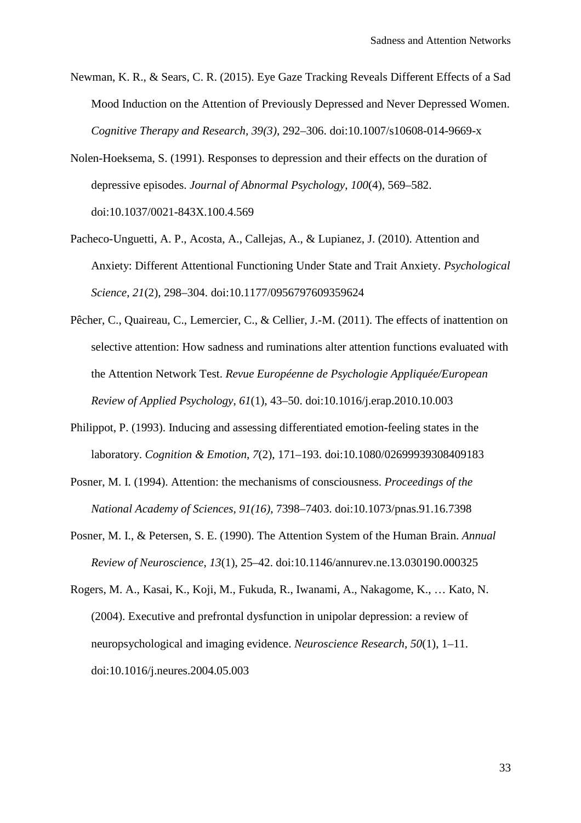- Newman, K. R., & Sears, C. R. (2015). Eye Gaze Tracking Reveals Different Effects of a Sad Mood Induction on the Attention of Previously Depressed and Never Depressed Women. *Cognitive Therapy and Research, 39(3)*, 292–306. doi:10.1007/s10608-014-9669-x
- Nolen-Hoeksema, S. (1991). Responses to depression and their effects on the duration of depressive episodes. *Journal of Abnormal Psychology*, *100*(4), 569–582. doi:10.1037/0021-843X.100.4.569
- Pacheco-Unguetti, A. P., Acosta, A., Callejas, A., & Lupianez, J. (2010). Attention and Anxiety: Different Attentional Functioning Under State and Trait Anxiety. *Psychological Science*, *21*(2), 298–304. doi:10.1177/0956797609359624
- Pêcher, C., Quaireau, C., Lemercier, C., & Cellier, J.-M. (2011). The effects of inattention on selective attention: How sadness and ruminations alter attention functions evaluated with the Attention Network Test. *Revue Européenne de Psychologie Appliquée/European Review of Applied Psychology*, *61*(1), 43–50. doi:10.1016/j.erap.2010.10.003
- Philippot, P. (1993). Inducing and assessing differentiated emotion-feeling states in the laboratory. *Cognition & Emotion*, *7*(2), 171–193. doi:10.1080/02699939308409183
- Posner, M. I. (1994). Attention: the mechanisms of consciousness. *Proceedings of the National Academy of Sciences, 91(16)*, 7398–7403. doi:10.1073/pnas.91.16.7398
- Posner, M. I., & Petersen, S. E. (1990). The Attention System of the Human Brain. *Annual Review of Neuroscience*, *13*(1), 25–42. doi:10.1146/annurev.ne.13.030190.000325
- Rogers, M. A., Kasai, K., Koji, M., Fukuda, R., Iwanami, A., Nakagome, K., … Kato, N. (2004). Executive and prefrontal dysfunction in unipolar depression: a review of neuropsychological and imaging evidence. *Neuroscience Research*, *50*(1), 1–11. doi:10.1016/j.neures.2004.05.003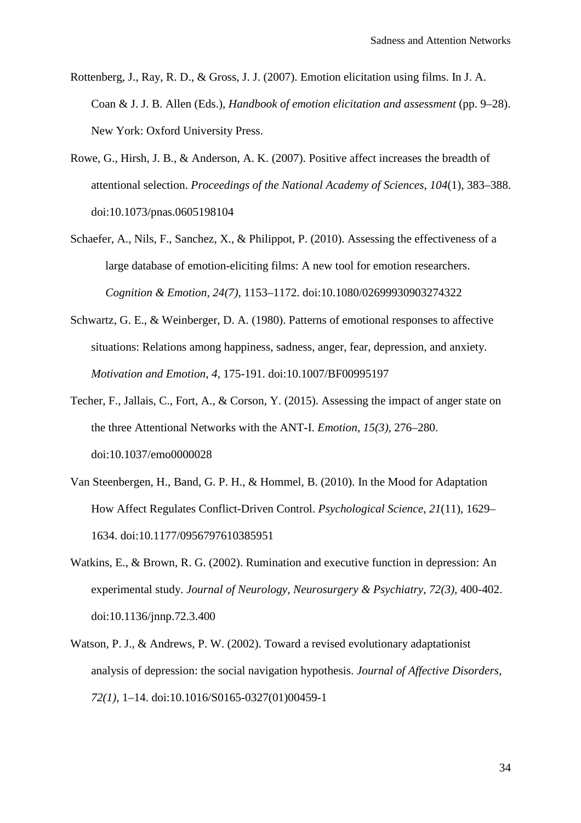- Rottenberg, J., Ray, R. D., & Gross, J. J. (2007). Emotion elicitation using films. In J. A. Coan & J. J. B. Allen (Eds.), *Handbook of emotion elicitation and assessment* (pp. 9–28). New York: Oxford University Press.
- Rowe, G., Hirsh, J. B., & Anderson, A. K. (2007). Positive affect increases the breadth of attentional selection. *Proceedings of the National Academy of Sciences*, *104*(1), 383–388. doi:10.1073/pnas.0605198104
- Schaefer, A., Nils, F., Sanchez, X., & Philippot, P. (2010). Assessing the effectiveness of a large database of emotion-eliciting films: A new tool for emotion researchers. *Cognition & Emotion, 24(7)*, 1153–1172. doi:10.1080/02699930903274322
- Schwartz, G. E., & Weinberger, D. A. (1980). Patterns of emotional responses to affective situations: Relations among happiness, sadness, anger, fear, depression, and anxiety. *Motivation and Emotion*, *4*, 175-191. doi:10.1007/BF00995197
- Techer, F., Jallais, C., Fort, A., & Corson, Y. (2015). Assessing the impact of anger state on the three Attentional Networks with the ANT-I. *Emotion, 15(3)*, 276–280. doi:10.1037/emo0000028
- Van Steenbergen, H., Band, G. P. H., & Hommel, B. (2010). In the Mood for Adaptation How Affect Regulates Conflict-Driven Control. *Psychological Science*, *21*(11), 1629– 1634. doi:10.1177/0956797610385951
- Watkins, E., & Brown, R. G. (2002). Rumination and executive function in depression: An experimental study. *Journal of Neurology, Neurosurgery & Psychiatry, 72(3),* 400-402. doi:10.1136/jnnp.72.3.400
- Watson, P. J., & Andrews, P. W. (2002). Toward a revised evolutionary adaptationist analysis of depression: the social navigation hypothesis. *Journal of Affective Disorders, 72(1)*, 1–14. doi:10.1016/S0165-0327(01)00459-1